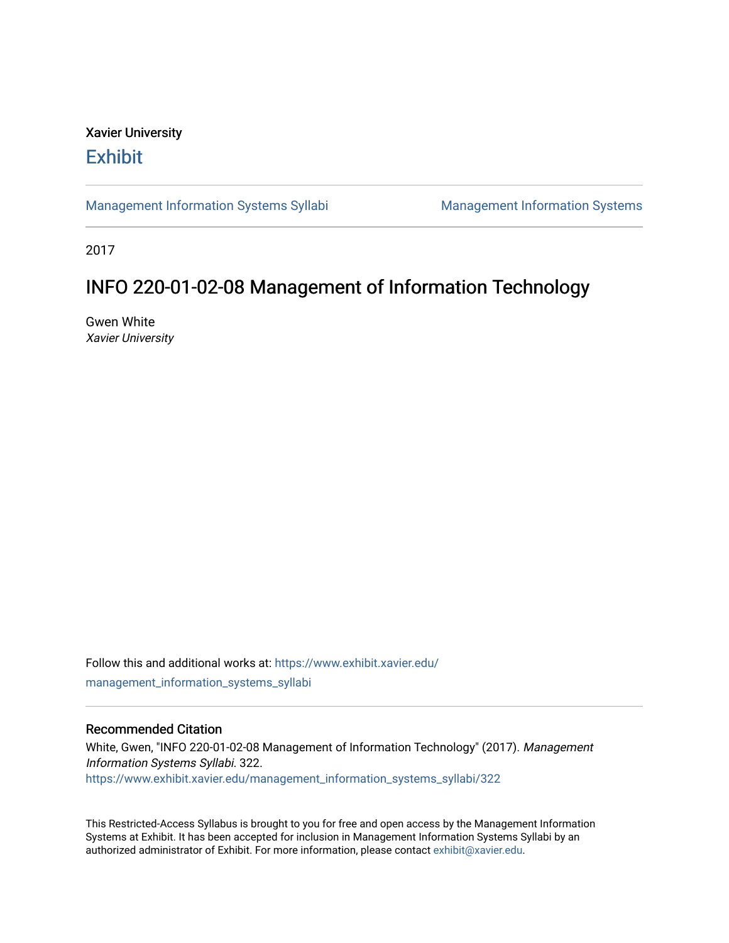# Xavier University **Exhibit**

[Management Information Systems Syllabi](https://www.exhibit.xavier.edu/management_information_systems_syllabi) Management Information Systems

2017

# INFO 220-01-02-08 Management of Information Technology

Gwen White Xavier University

Follow this and additional works at: [https://www.exhibit.xavier.edu/](https://www.exhibit.xavier.edu/management_information_systems_syllabi?utm_source=www.exhibit.xavier.edu%2Fmanagement_information_systems_syllabi%2F322&utm_medium=PDF&utm_campaign=PDFCoverPages) [management\\_information\\_systems\\_syllabi](https://www.exhibit.xavier.edu/management_information_systems_syllabi?utm_source=www.exhibit.xavier.edu%2Fmanagement_information_systems_syllabi%2F322&utm_medium=PDF&utm_campaign=PDFCoverPages) 

#### Recommended Citation

White, Gwen, "INFO 220-01-02-08 Management of Information Technology" (2017). Management Information Systems Syllabi. 322. [https://www.exhibit.xavier.edu/management\\_information\\_systems\\_syllabi/322](https://www.exhibit.xavier.edu/management_information_systems_syllabi/322?utm_source=www.exhibit.xavier.edu%2Fmanagement_information_systems_syllabi%2F322&utm_medium=PDF&utm_campaign=PDFCoverPages) 

This Restricted-Access Syllabus is brought to you for free and open access by the Management Information Systems at Exhibit. It has been accepted for inclusion in Management Information Systems Syllabi by an authorized administrator of Exhibit. For more information, please contact [exhibit@xavier.edu](mailto:exhibit@xavier.edu).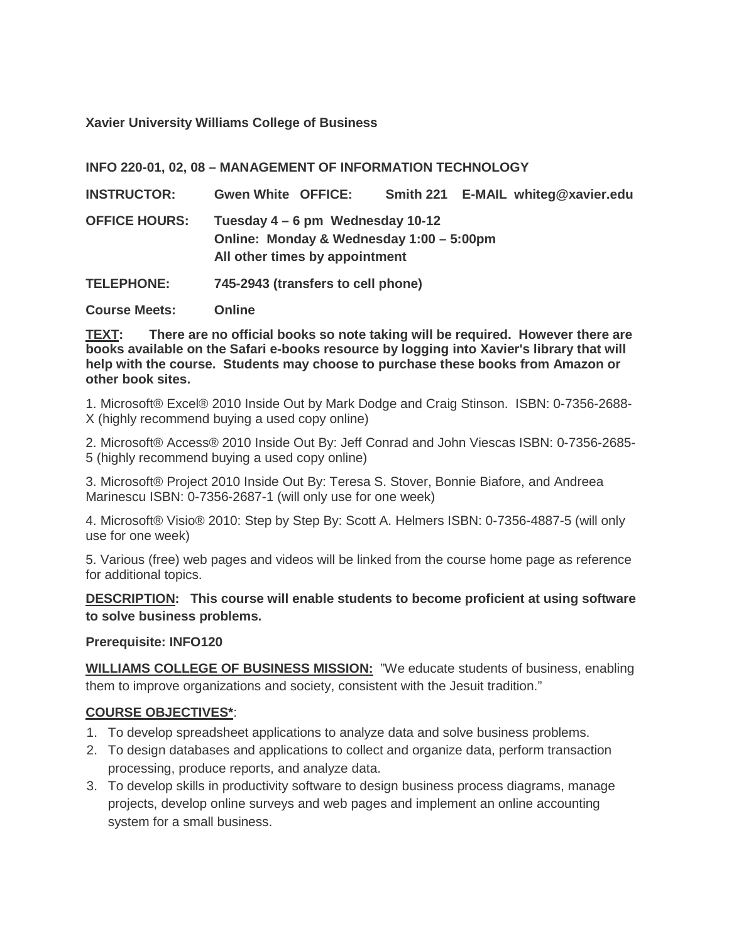**Xavier University Williams College of Business**

**INFO 220-01, 02, 08 – MANAGEMENT OF INFORMATION TECHNOLOGY**

| <b>INSTRUCTOR:</b>   | <b>Gwen White OFFICE:</b> |                                                                                                                |  | Smith 221 E-MAIL whiteg@xavier.edu |
|----------------------|---------------------------|----------------------------------------------------------------------------------------------------------------|--|------------------------------------|
| <b>OFFICE HOURS:</b> |                           | Tuesday 4 – 6 pm Wednesday 10-12<br>Online: Monday & Wednesday 1:00 - 5:00pm<br>All other times by appointment |  |                                    |

**TELEPHONE: 745-2943 (transfers to cell phone)**

**Course Meets: Online**

**TEXT: There are no official books so note taking will be required. However there are books available on the Safari e-books resource by logging into Xavier's library that will help with the course. Students may choose to purchase these books from Amazon or other book sites.**

1. Microsoft® Excel® 2010 Inside Out by Mark Dodge and Craig Stinson. ISBN: 0-7356-2688- X (highly recommend buying a used copy online)

2. Microsoft® Access® 2010 Inside Out By: Jeff Conrad and John Viescas ISBN: 0-7356-2685- 5 (highly recommend buying a used copy online)

3. Microsoft® Project 2010 Inside Out By: Teresa S. Stover, Bonnie Biafore, and Andreea Marinescu ISBN: 0-7356-2687-1 (will only use for one week)

4. Microsoft® Visio® 2010: Step by Step By: Scott A. Helmers ISBN: 0-7356-4887-5 (will only use for one week)

5. Various (free) web pages and videos will be linked from the course home page as reference for additional topics.

**DESCRIPTION: This course will enable students to become proficient at using software to solve business problems.**

# **Prerequisite: INFO120**

**WILLIAMS COLLEGE OF BUSINESS MISSION:** "We educate students of business, enabling them to improve organizations and society, consistent with the Jesuit tradition."

# **COURSE OBJECTIVES\***:

- 1. To develop spreadsheet applications to analyze data and solve business problems.
- 2. To design databases and applications to collect and organize data, perform transaction processing, produce reports, and analyze data.
- 3. To develop skills in productivity software to design business process diagrams, manage projects, develop online surveys and web pages and implement an online accounting system for a small business.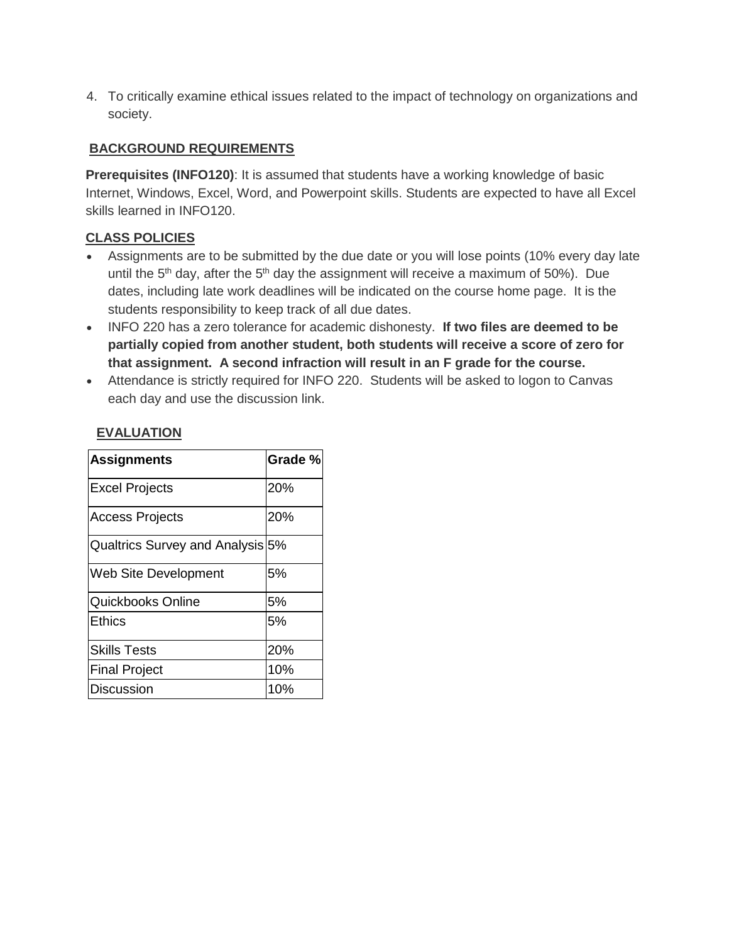4. To critically examine ethical issues related to the impact of technology on organizations and society.

# **BACKGROUND REQUIREMENTS**

**Prerequisites (INFO120)**: It is assumed that students have a working knowledge of basic Internet, Windows, Excel, Word, and Powerpoint skills. Students are expected to have all Excel skills learned in INFO120.

# **CLASS POLICIES**

- Assignments are to be submitted by the due date or you will lose points (10% every day late until the  $5<sup>th</sup>$  day, after the  $5<sup>th</sup>$  day the assignment will receive a maximum of 50%). Due dates, including late work deadlines will be indicated on the course home page. It is the students responsibility to keep track of all due dates.
- INFO 220 has a zero tolerance for academic dishonesty. **If two files are deemed to be partially copied from another student, both students will receive a score of zero for that assignment. A second infraction will result in an F grade for the course.**
- Attendance is strictly required for INFO 220. Students will be asked to logon to Canvas each day and use the discussion link.

| <b>Assignments</b>               | Grade % |
|----------------------------------|---------|
| <b>Excel Projects</b>            | 20%     |
| <b>Access Projects</b>           | 20%     |
| Qualtrics Survey and Analysis 5% |         |
| Web Site Development             | 5%      |
| Quickbooks Online                | 5%      |
| <b>Ethics</b>                    | 5%      |
| <b>Skills Tests</b>              | 20%     |
| <b>Final Project</b>             | 10%     |
| Discussion                       | 10%     |

# **EVALUATION**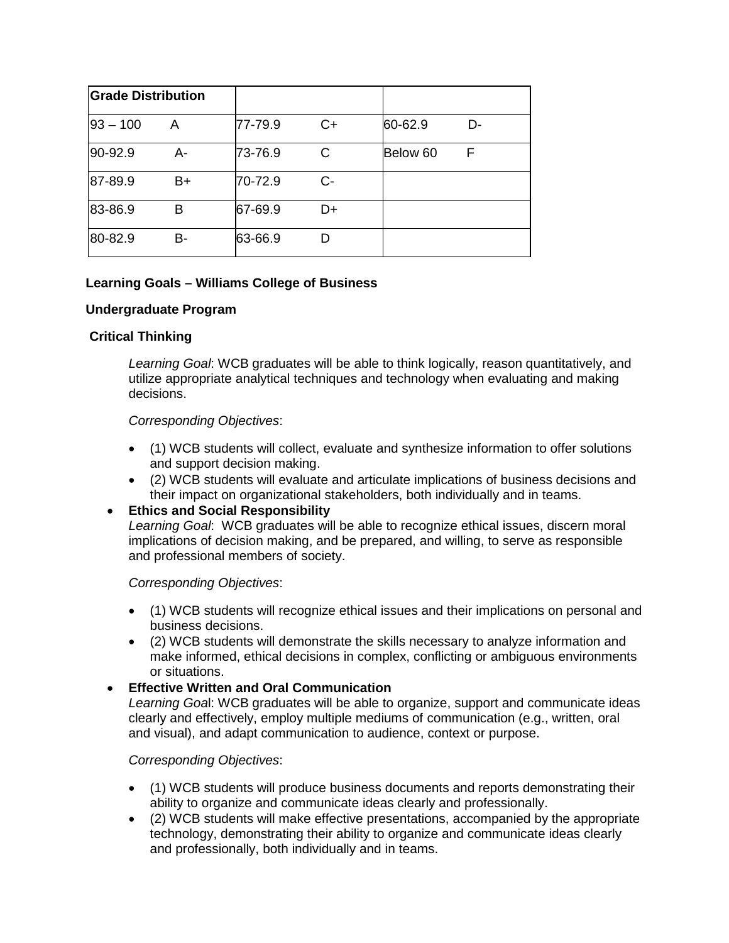| <b>Grade Distribution</b> |    |         |      |          |    |
|---------------------------|----|---------|------|----------|----|
| $93 - 100$                | Α  | 77-79.9 | $C+$ | 60-62.9  | D- |
| 90-92.9                   | А- | 73-76.9 | С    | Below 60 | F  |
| 87-89.9                   | B+ | 70-72.9 | C-   |          |    |
| 83-86.9                   | в  | 67-69.9 | D+   |          |    |
| 80-82.9                   | В- | 63-66.9 |      |          |    |

# **Learning Goals – Williams College of Business**

#### **Undergraduate Program**

# **Critical Thinking**

*Learning Goal*: WCB graduates will be able to think logically, reason quantitatively, and utilize appropriate analytical techniques and technology when evaluating and making decisions.

#### *Corresponding Objectives*:

- (1) WCB students will collect, evaluate and synthesize information to offer solutions and support decision making.
- (2) WCB students will evaluate and articulate implications of business decisions and their impact on organizational stakeholders, both individually and in teams.

# • **Ethics and Social Responsibility**

*Learning Goal*: WCB graduates will be able to recognize ethical issues, discern moral implications of decision making, and be prepared, and willing, to serve as responsible and professional members of society.

#### *Corresponding Objectives*:

- (1) WCB students will recognize ethical issues and their implications on personal and business decisions.
- (2) WCB students will demonstrate the skills necessary to analyze information and make informed, ethical decisions in complex, conflicting or ambiguous environments or situations.

#### • **Effective Written and Oral Communication**

*Learning Goa*l: WCB graduates will be able to organize, support and communicate ideas clearly and effectively, employ multiple mediums of communication (e.g., written, oral and visual), and adapt communication to audience, context or purpose.

#### *Corresponding Objectives*:

- (1) WCB students will produce business documents and reports demonstrating their ability to organize and communicate ideas clearly and professionally.
- (2) WCB students will make effective presentations, accompanied by the appropriate technology, demonstrating their ability to organize and communicate ideas clearly and professionally, both individually and in teams.